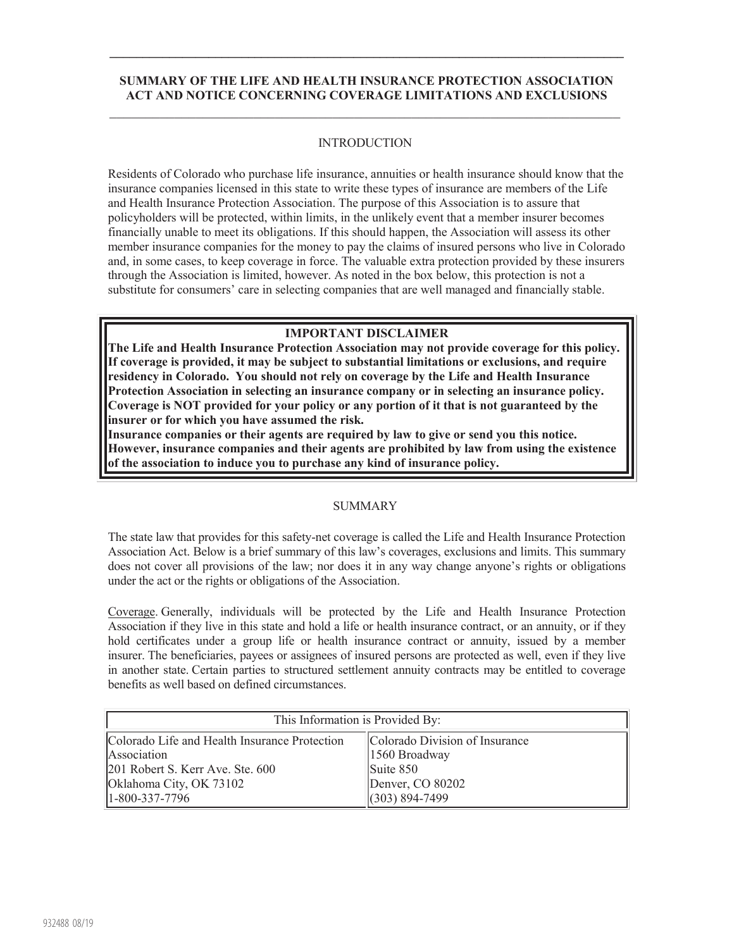## **SUMMARY OF THE LIFE AND HEALTH INSURANCE PROTECTION ASSOCIATION ACT AND NOTICE CONCERNING COVERAGE LIMITATIONS AND EXCLUSIONS**  $\_$  , and the set of the set of the set of the set of the set of the set of the set of the set of the set of the set of the set of the set of the set of the set of the set of the set of the set of the set of the set of th

**\_\_\_\_\_\_\_\_\_\_\_\_\_\_\_\_\_\_\_\_\_\_\_\_\_\_\_\_\_\_\_\_\_\_\_\_\_\_\_\_\_\_\_\_\_\_\_\_\_\_\_\_\_\_\_\_\_\_\_\_\_\_\_\_\_\_\_\_\_\_\_\_\_\_\_\_\_\_**

## INTRODUCTION

Residents of Colorado who purchase life insurance, annuities or health insurance should know that the insurance companies licensed in this state to write these types of insurance are members of the Life and Health Insurance Protection Association. The purpose of this Association is to assure that policyholders will be protected, within limits, in the unlikely event that a member insurer becomes financially unable to meet its obligations. If this should happen, the Association will assess its other member insurance companies for the money to pay the claims of insured persons who live in Colorado and, in some cases, to keep coverage in force. The valuable extra protection provided by these insurers through the Association is limited, however. As noted in the box below, this protection is not a substitute for consumers' care in selecting companies that are well managed and financially stable.

## **IMPORTANT DISCLAIMER**

**The Life and Health Insurance Protection Association may not provide coverage for this policy. If coverage is provided, it may be subject to substantial limitations or exclusions, and require residency in Colorado. You should not rely on coverage by the Life and Health Insurance Protection Association in selecting an insurance company or in selecting an insurance policy. Coverage is NOT provided for your policy or any portion of it that is not guaranteed by the insurer or for which you have assumed the risk.**

**Insurance companies or their agents are required by law to give or send you this notice. However, insurance companies and their agents are prohibited by law from using the existence of the association to induce you to purchase any kind of insurance policy.**

## SUMMARY

The state law that provides for this safety-net coverage is called the Life and Health Insurance Protection Association Act. Below is a brief summary of this law's coverages, exclusions and limits. This summary does not cover all provisions of the law; nor does it in any way change anyone's rights or obligations under the act or the rights or obligations of the Association.

Coverage. Generally, individuals will be protected by the Life and Health Insurance Protection Association if they live in this state and hold a life or health insurance contract, or an annuity, or if they hold certificates under a group life or health insurance contract or annuity, issued by a member insurer. The beneficiaries, payees or assignees of insured persons are protected as well, even if they live in another state. Certain parties to structured settlement annuity contracts may be entitled to coverage benefits as well based on defined circumstances.

| This Information is Provided By:              |                                |
|-----------------------------------------------|--------------------------------|
| Colorado Life and Health Insurance Protection | Colorado Division of Insurance |
| Association                                   | 1560 Broadway                  |
| 201 Robert S. Kerr Ave. Ste. 600              | $\text{Suite } 850$            |
| Oklahoma City, OK 73102                       | Denver, CO 80202               |
| 1-800-337-7796                                | $(303) 894 - 7499$             |